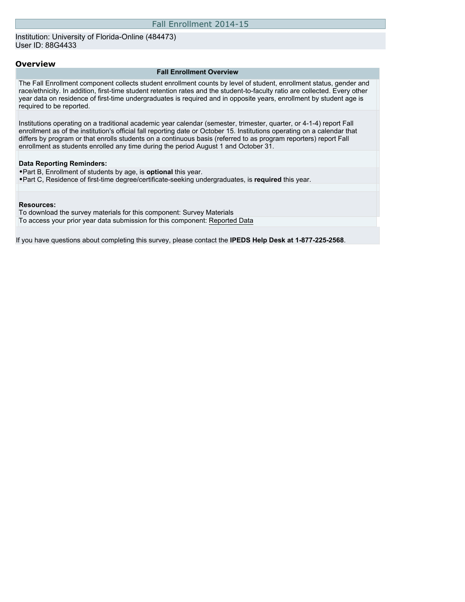Institution: University of Florida-Online (484473) User ID: 88G4433

#### **Overview**

#### **Fall Enrollment Overview**

The Fall Enrollment component collects student enrollment counts by level of student, enrollment status, gender and race/ethnicity. In addition, first-time student retention rates and the student-to-faculty ratio are collected. Every other year data on residence of first-time undergraduates is required and in opposite years, enrollment by student age is required to be reported.

Institutions operating on a traditional academic year calendar (semester, trimester, quarter, or 4-1-4) report Fall enrollment as of the institution's official fall reporting date or October 15. Institutions operating on a calendar that differs by program or that enrolls students on a continuous basis (referred to as program reporters) report Fall enrollment as students enrolled any time during the period August 1 and October 31.

#### **Data Reporting Reminders:**

•Part B, Enrollment of students by age, is **optional** this year. •Part C, Residence of first-time degree/certificate-seeking undergraduates, is **required** this year.

#### **Resources:**

To download the survey materials for this component: [Survey Materials](https://surveys.nces.ed.gov/ipeds/VisIndex.aspx) To access your prior year data submission for this component: [Reported Data](https://surveys.nces.ed.gov/IPEDS/PriorYearDataRedirect.aspx?survey_id=6)

If you have questions about completing this survey, please contact the **IPEDS Help Desk at 1-877-225-2568**.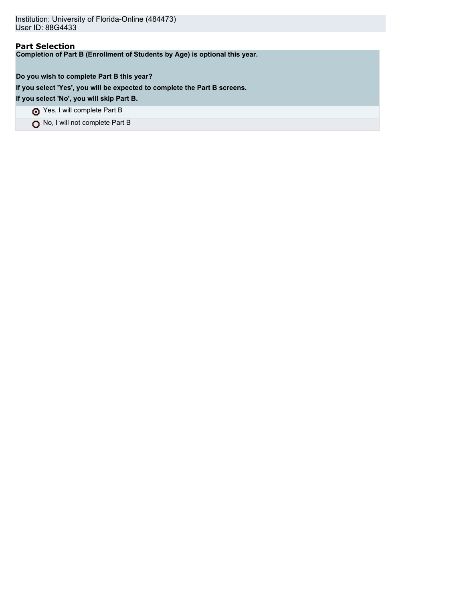Institution: University of Florida-Online (484473) User ID: 88G4433

## **Part Selection**

**Completion of Part B (Enrollment of Students by Age) is optional this year.**

### **Do you wish to complete Part B this year?**

**If you select 'Yes', you will be expected to complete the Part B screens.**

**If you select 'No', you will skip Part B.**

Yes, I will complete Part B

No, I will not complete Part B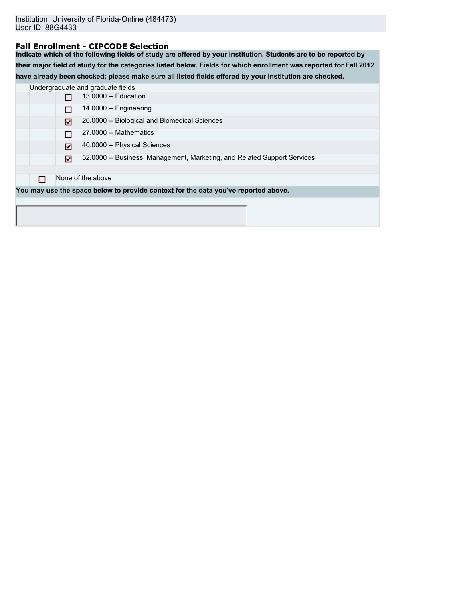### **Fall Enrollment - CIPCODE Selection**

**Indicate which of the following fields of study are offered by your institution. Students are to be reported by their major field of study for the categories listed below. Fields for which enrollment was reported for Fall 2012 have already been checked; please make sure all listed fields offered by your institution are checked.**

|  |     | Undergraduate and graduate fields                                                  |
|--|-----|------------------------------------------------------------------------------------|
|  |     | 13,0000 -- Education                                                               |
|  |     | $14.0000 -$ Engineering                                                            |
|  | ا⊽ا | 26.0000 -- Biological and Biomedical Sciences                                      |
|  |     | 27,0000 -- Mathematics                                                             |
|  | ا⊽ا | 40.0000 -- Physical Sciences                                                       |
|  | ⊓   | 52.0000 -- Business, Management, Marketing, and Related Support Services           |
|  |     |                                                                                    |
|  |     | None of the above                                                                  |
|  |     | You may use the space below to provide context for the data you've reported above. |
|  |     |                                                                                    |
|  |     |                                                                                    |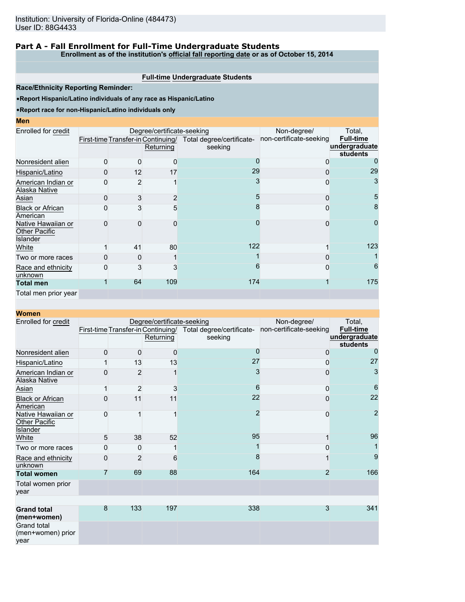## **Part A - Fall Enrollment for Full-Time Undergraduate Students**

**Enrollment as of the institution's official fall reporting date or as of October 15, 2014**

### **Full-time Undergraduate Students**

**Race/Ethnicity Reporting Reminder:**

•**Report Hispanic/Latino individuals of any race as Hispanic/Latino**

#### •**Report race for non-Hispanic/Latino individuals only**

**Men**

| Enrolled for credit                                           |          |    | Degree/certificate-seeking         | Non-degree/               | Total,                  |                  |
|---------------------------------------------------------------|----------|----|------------------------------------|---------------------------|-------------------------|------------------|
|                                                               |          |    | First-time Transfer-in Continuing/ | Total degree/certificate- | non-certificate-seeking | <b>Full-time</b> |
|                                                               |          |    | Returning                          | seeking                   |                         | undergraduate    |
|                                                               |          |    |                                    |                           |                         | students         |
| Nonresident alien                                             | $\Omega$ | O  | <sup>0</sup>                       |                           | 0                       | 0                |
| Hispanic/Latino                                               | 0        | 12 | 17                                 | 29                        | $\Omega$                | 29               |
| American Indian or<br>Alaska Native                           | 0        |    |                                    |                           | 0                       | 3                |
| Asian                                                         | $\Omega$ | 3  | 2                                  |                           | $\Omega$                | 5                |
| <b>Black or African</b><br>American                           | 0        | 3  | 5                                  |                           | 0                       | 8                |
| Native Hawaiian or<br><b>Other Pacific</b><br><b>Islander</b> | 0        | O  | ŋ                                  |                           | 0                       | 0                |
| White                                                         |          | 41 | 80                                 | 122                       |                         | 123              |
| Two or more races                                             |          |    |                                    |                           |                         |                  |
| Race and ethnicity<br>unknown                                 | 0        | 3  | 3                                  |                           | 0                       | 6                |
| <b>Total men</b>                                              |          | 64 | 109                                | 174                       |                         | 175              |
| Total men prior year                                          |          |    |                                    |                           |                         |                  |

| <b>Women</b>                                           |                |                |                            |                                                                         |                         |                                               |
|--------------------------------------------------------|----------------|----------------|----------------------------|-------------------------------------------------------------------------|-------------------------|-----------------------------------------------|
| Enrolled for credit                                    |                |                | Degree/certificate-seeking | Non-degree/                                                             | Total,                  |                                               |
|                                                        |                |                | Returning                  | First-time Transfer-in Continuing/ Total degree/certificate-<br>seeking | non-certificate-seeking | <b>Full-time</b><br>undergraduate<br>students |
| Nonresident alien                                      | 0              | $\mathbf 0$    | $\mathbf 0$                | O                                                                       | 0                       | $\Omega$                                      |
| Hispanic/Latino                                        | 1              | 13             | 13                         | 27                                                                      | 0                       | 27                                            |
| American Indian or<br><b>Alaska Native</b>             | 0              | $\overline{2}$ |                            | 3                                                                       | 0                       | 3                                             |
| Asian                                                  | 1              | $\overline{2}$ | 3                          | 6                                                                       | 0                       | 6                                             |
| <b>Black or African</b><br>American                    | 0              | 11             | 11                         | 22                                                                      | 0                       | 22                                            |
| Native Hawaiian or<br><b>Other Pacific</b><br>Islander | $\mathbf 0$    |                |                            | 2                                                                       | 0                       | $\overline{2}$                                |
| White                                                  | 5              | 38             | 52                         | 95                                                                      |                         | 96                                            |
| Two or more races                                      | 0              | 0              |                            |                                                                         | 0                       |                                               |
| Race and ethnicity<br>unknown                          | 0              | $\overline{2}$ | 6                          | 8                                                                       |                         | 9                                             |
| <b>Total women</b>                                     | $\overline{7}$ | 69             | 88                         | 164                                                                     | $\overline{2}$          | 166                                           |
| Total women prior<br>year                              |                |                |                            |                                                                         |                         |                                               |
|                                                        |                |                |                            |                                                                         |                         |                                               |
| <b>Grand total</b><br>(men+women)                      | 8              | 133            | 197                        | 338                                                                     | 3                       | 341                                           |
| Grand total<br>(men+women) prior<br>year               |                |                |                            |                                                                         |                         |                                               |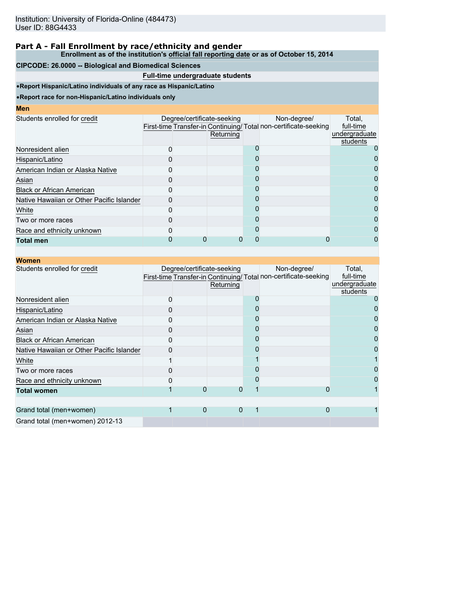**Enrollment as of the institution's official fall reporting date or as of October 15, 2014**

### **CIPCODE: 26.0000 -- Biological and Biomedical Sciences**

### **Full-time undergraduate students**

•**Report Hispanic/Latino individuals of any race as Hispanic/Latino**

| <b>Men</b>                                |  |                                         |                                                                                |                                                  |
|-------------------------------------------|--|-----------------------------------------|--------------------------------------------------------------------------------|--------------------------------------------------|
| Students enrolled for credit              |  | Degree/certificate-seeking<br>Returning | Non-degree/<br>First-time Transfer-in Continuing/Total non-certificate-seeking | Total,<br>full-time<br>undergraduate<br>students |
| Nonresident alien                         |  |                                         |                                                                                |                                                  |
| Hispanic/Latino                           |  |                                         |                                                                                |                                                  |
| American Indian or Alaska Native          |  |                                         |                                                                                |                                                  |
| Asian                                     |  |                                         |                                                                                |                                                  |
| <b>Black or African American</b>          |  |                                         |                                                                                |                                                  |
| Native Hawaiian or Other Pacific Islander |  |                                         |                                                                                | 0                                                |
| White                                     |  |                                         |                                                                                | 0                                                |
| Two or more races                         |  |                                         |                                                                                |                                                  |
| Race and ethnicity unknown                |  |                                         |                                                                                |                                                  |
| <b>Total men</b>                          |  |                                         |                                                                                |                                                  |

| <b>Women</b>                              |                            |           |                                                                                |                                                  |
|-------------------------------------------|----------------------------|-----------|--------------------------------------------------------------------------------|--------------------------------------------------|
| Students enrolled for credit              | Degree/certificate-seeking | Returning | Non-degree/<br>First-time Transfer-in Continuing/Total non-certificate-seeking | Total,<br>full-time<br>undergraduate<br>students |
| Nonresident alien                         |                            |           |                                                                                |                                                  |
| Hispanic/Latino                           |                            |           |                                                                                |                                                  |
| American Indian or Alaska Native          |                            |           |                                                                                |                                                  |
| Asian                                     |                            |           |                                                                                |                                                  |
| <b>Black or African American</b>          |                            |           |                                                                                |                                                  |
| Native Hawaiian or Other Pacific Islander |                            |           |                                                                                |                                                  |
| White                                     |                            |           |                                                                                |                                                  |
| Two or more races                         |                            |           |                                                                                |                                                  |
| Race and ethnicity unknown                |                            |           |                                                                                |                                                  |
| <b>Total women</b>                        |                            |           | 0                                                                              |                                                  |
|                                           |                            |           |                                                                                |                                                  |
| Grand total (men+women)                   | 0                          | $\Omega$  | 0                                                                              |                                                  |
| Grand total (men+women) 2012-13           |                            |           |                                                                                |                                                  |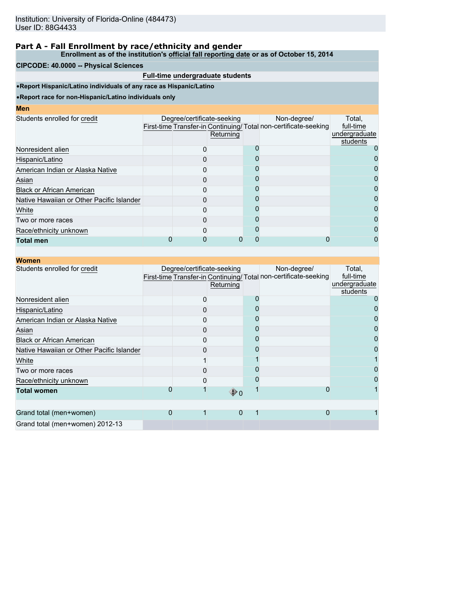**Enrollment as of the institution's official fall reporting date or as of October 15, 2014**

### **CIPCODE: 40.0000 -- Physical Sciences**

### **Full-time undergraduate students**

•**Report Hispanic/Latino individuals of any race as Hispanic/Latino**

| <b>STATE OF STATE OF STATE OF STATE OF STATE OF STATE OF STATE OF STATE OF STATE OF STATE OF STATE OF STATE OF S</b><br><b>Contract Contract Contract Contract Contract Contract Contract Contract Contract Contract Contract Contract Co</b> | <b>Contract Contract Contract Contract Contract Contract Contract Contract Contract Contract Contract Contract Co</b><br><b>STATE OF STATE OF STATE OF STATE OF STATE OF STATE OF STATE OF STATE OF STATE OF STATE OF STATE OF STATE OF S</b> |  |
|-----------------------------------------------------------------------------------------------------------------------------------------------------------------------------------------------------------------------------------------------|-----------------------------------------------------------------------------------------------------------------------------------------------------------------------------------------------------------------------------------------------|--|
|                                                                                                                                                                                                                                               |                                                                                                                                                                                                                                               |  |

| Returning | Non-degree/                | Total,<br>full-time<br>undergraduate<br>students                |
|-----------|----------------------------|-----------------------------------------------------------------|
|           |                            |                                                                 |
|           |                            |                                                                 |
|           |                            |                                                                 |
|           |                            |                                                                 |
|           |                            | 0                                                               |
|           |                            | 0                                                               |
|           |                            |                                                                 |
|           |                            | 0                                                               |
|           |                            | 0                                                               |
|           |                            |                                                                 |
|           | Degree/certificate-seeking | First-time Transfer-in Continuing/Total non-certificate-seeking |

|  | Women |  |
|--|-------|--|
|--|-------|--|

| wvonen                                    |   |                                         |                                                                                |                                      |
|-------------------------------------------|---|-----------------------------------------|--------------------------------------------------------------------------------|--------------------------------------|
| Students enrolled for credit              |   | Degree/certificate-seeking<br>Returning | Non-degree/<br>First-time Transfer-in Continuing/Total non-certificate-seeking | Total,<br>full-time<br>undergraduate |
| Nonresident alien                         |   |                                         |                                                                                | students                             |
| Hispanic/Latino                           |   |                                         |                                                                                |                                      |
| American Indian or Alaska Native          |   |                                         |                                                                                |                                      |
| Asian                                     |   |                                         |                                                                                |                                      |
| <b>Black or African American</b>          |   |                                         |                                                                                |                                      |
| Native Hawaiian or Other Pacific Islander |   |                                         |                                                                                |                                      |
| White                                     |   |                                         |                                                                                |                                      |
| Two or more races                         |   |                                         |                                                                                |                                      |
| Race/ethnicity unknown                    |   |                                         |                                                                                |                                      |
| <b>Total women</b>                        |   | $\bigcirc$ 0                            |                                                                                |                                      |
|                                           |   |                                         |                                                                                |                                      |
| Grand total (men+women)                   | 0 | 0                                       | 0                                                                              |                                      |
| Grand total (men+women) 2012-13           |   |                                         |                                                                                |                                      |
|                                           |   |                                         |                                                                                |                                      |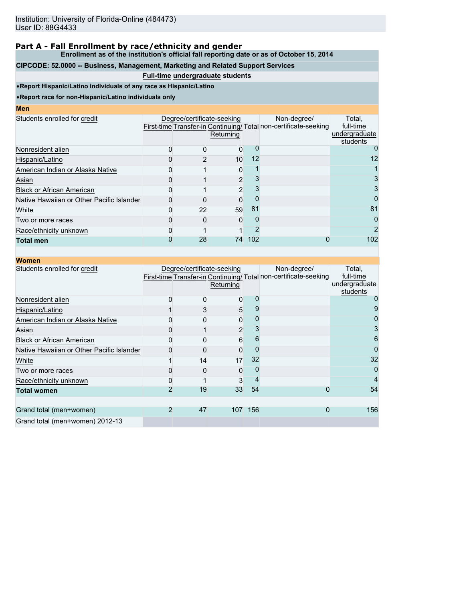**Enrollment as of the institution's official fall reporting date or as of October 15, 2014**

## **CIPCODE: 52.0000 -- Business, Management, Marketing and Related Support Services**

### **Full-time undergraduate students**

•**Report Hispanic/Latino individuals of any race as Hispanic/Latino**

•**Report race for non-Hispanic/Latino individuals only**

## **Men**

| IVICII                                    |                            |           |     |                                                                                |                                                  |
|-------------------------------------------|----------------------------|-----------|-----|--------------------------------------------------------------------------------|--------------------------------------------------|
| Students enrolled for credit              | Degree/certificate-seeking | Returning |     | Non-degree/<br>First-time Transfer-in Continuing/Total non-certificate-seeking | Total,<br>full-time<br>undergraduate<br>students |
| Nonresident alien                         |                            | 0         |     |                                                                                |                                                  |
| Hispanic/Latino                           |                            | 10        | 12  |                                                                                | 12                                               |
| American Indian or Alaska Native          |                            | 0         |     |                                                                                |                                                  |
| Asian                                     |                            | 2         |     |                                                                                |                                                  |
| <b>Black or African American</b>          |                            | 2         |     |                                                                                |                                                  |
| Native Hawaiian or Other Pacific Islander |                            | 0         |     |                                                                                | $\Omega$                                         |
| White                                     | 22                         | 59        | 81  |                                                                                | 81                                               |
| Two or more races                         |                            | $\Omega$  |     |                                                                                | $\Omega$                                         |
| Race/ethnicity unknown                    |                            |           |     |                                                                                | $\mathcal{P}$                                    |
| <b>Total men</b>                          | 28                         | 74        | 102 |                                                                                | 102                                              |

| <b>Women</b>                              |   |    |                                         |     |                                                                                 |                                                  |
|-------------------------------------------|---|----|-----------------------------------------|-----|---------------------------------------------------------------------------------|--------------------------------------------------|
| Students enrolled for credit              |   |    | Degree/certificate-seeking<br>Returning |     | Non-degree/<br>First-time Transfer-in Continuing/ Total non-certificate-seeking | Total,<br>full-time<br>undergraduate<br>students |
| Nonresident alien                         | 0 |    | 0                                       |     |                                                                                 | 0                                                |
| Hispanic/Latino                           |   | 3  | 5                                       |     |                                                                                 | 9                                                |
| American Indian or Alaska Native          |   |    | 0                                       |     |                                                                                 |                                                  |
| Asian                                     |   |    | $\overline{2}$                          |     |                                                                                 | 3                                                |
| <b>Black or African American</b>          |   |    | 6                                       | 6   |                                                                                 | 6                                                |
| Native Hawaiian or Other Pacific Islander |   |    | $\Omega$                                |     |                                                                                 | 0                                                |
| White                                     |   | 14 | 17                                      | 32  |                                                                                 | 32                                               |
| Two or more races                         |   | O  | 0                                       |     |                                                                                 | O                                                |
| Race/ethnicity unknown                    |   |    | 3                                       |     |                                                                                 | 4                                                |
| <b>Total women</b>                        | 2 | 19 | 33                                      | 54  | 0                                                                               | 54                                               |
| Grand total (men+women)                   | 2 | 47 | 107                                     | 156 | 0                                                                               | 156                                              |
| Grand total (men+women) 2012-13           |   |    |                                         |     |                                                                                 |                                                  |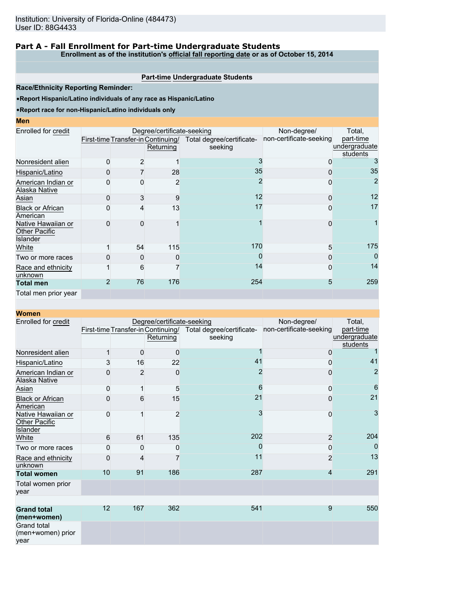### **Part A - Fall Enrollment for Part-time Undergraduate Students**

**Enrollment as of the institution's official fall reporting date or as of October 15, 2014**

### **Part-time Undergraduate Students**

**Race/Ethnicity Reporting Reminder:**

•**Report Hispanic/Latino individuals of any race as Hispanic/Latino**

#### •**Report race for non-Hispanic/Latino individuals only**

**Men**

| Enrolled for credit                                    |   |    | Degree/certificate-seeking |                                                              | Non-degree/             | Total,         |
|--------------------------------------------------------|---|----|----------------------------|--------------------------------------------------------------|-------------------------|----------------|
|                                                        |   |    |                            | First-time Transfer-in Continuing/ Total degree/certificate- | non-certificate-seeking | part-time      |
|                                                        |   |    | Returning                  | seeking                                                      |                         | undergraduate  |
|                                                        |   |    |                            |                                                              |                         | students       |
| Nonresident alien                                      | 0 | 2  |                            |                                                              |                         | 3              |
| Hispanic/Latino                                        | O |    | 28                         | 35                                                           |                         | 35             |
| American Indian or<br>Alaska Native                    |   | 0  | 2                          |                                                              |                         | $\overline{2}$ |
| Asian                                                  | ი | 3  | 9                          | 12                                                           |                         | 12             |
| <b>Black or African</b><br>American                    |   | 4  | 13                         | 17                                                           |                         | 17             |
| Native Hawaiian or<br><b>Other Pacific</b><br>Islander | U | O  |                            |                                                              |                         |                |
| White                                                  |   | 54 | 115                        | 170                                                          | 5                       | 175            |
| Two or more races                                      |   | 0  | O                          | O                                                            |                         | 0              |
| Race and ethnicity<br>unknown                          |   | 6  |                            | 14                                                           |                         | 14             |
| <b>Total men</b>                                       | 2 | 76 | 176                        | 254                                                          | 5                       | 259            |
| Total men prior year                                   |   |    |                            |                                                              |                         |                |

| <b>Women</b>                                    |    |                |                                                 |                                      |                         |                                        |
|-------------------------------------------------|----|----------------|-------------------------------------------------|--------------------------------------|-------------------------|----------------------------------------|
| Enrolled for credit                             |    |                | Degree/certificate-seeking                      |                                      | Non-degree/             | Total,                                 |
|                                                 |    |                | First-time Transfer-in Continuing/<br>Returning | Total degree/certificate-<br>seeking | non-certificate-seeking | part-time<br>undergraduate<br>students |
| Nonresident alien                               | 1  | 0              | $\mathbf 0$                                     |                                      | $\mathbf 0$             |                                        |
| Hispanic/Latino                                 | 3  | 16             | 22                                              | 41                                   | 0                       | 41                                     |
| American Indian or<br><b>Alaska Native</b>      | 0  | $\overline{2}$ | 0                                               | $\overline{2}$                       | $\mathbf{0}$            | $\overline{2}$                         |
| Asian                                           | 0  |                | 5                                               | 6                                    | 0                       | 6                                      |
| <b>Black or African</b><br>American             | 0  | 6              | 15                                              | 21                                   | 0                       | 21                                     |
| Native Hawaiian or<br>Other Pacific<br>Islander | 0  |                | $\overline{2}$                                  | 3                                    | $\mathbf 0$             | 3                                      |
| White                                           | 6  | 61             | 135                                             | 202                                  | $\overline{2}$          | 204                                    |
| Two or more races                               | 0  | 0              | 0                                               | 0                                    | 0                       | $\Omega$                               |
| Race and ethnicity<br>unknown                   | 0  | 4              |                                                 | 11                                   | $\overline{2}$          | 13                                     |
| <b>Total women</b>                              | 10 | 91             | 186                                             | 287                                  | $\overline{4}$          | 291                                    |
| Total women prior<br>year                       |    |                |                                                 |                                      |                         |                                        |
|                                                 |    |                |                                                 |                                      |                         |                                        |
| <b>Grand total</b><br>(men+women)               | 12 | 167            | 362                                             | 541                                  | 9                       | 550                                    |
| <b>Grand total</b><br>(men+women) prior<br>year |    |                |                                                 |                                      |                         |                                        |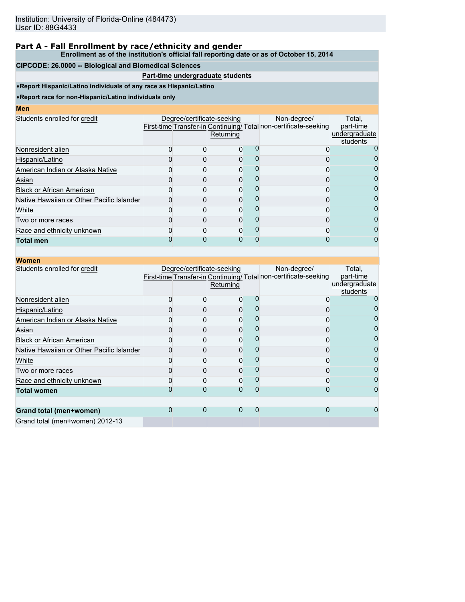**Enrollment as of the institution's official fall reporting date or as of October 15, 2014**

### **CIPCODE: 26.0000 -- Biological and Biomedical Sciences**

### **Part-time undergraduate students**

•**Report Hispanic/Latino individuals of any race as Hispanic/Latino**

| Men                                       |                            |           |                                                                                |                                                  |
|-------------------------------------------|----------------------------|-----------|--------------------------------------------------------------------------------|--------------------------------------------------|
| Students enrolled for credit              | Degree/certificate-seeking | Returning | Non-degree/<br>First-time Transfer-in Continuing/Total non-certificate-seeking | Total.<br>part-time<br>undergraduate<br>students |
| Nonresident alien                         |                            |           |                                                                                |                                                  |
| Hispanic/Latino                           |                            | ŋ         |                                                                                |                                                  |
| American Indian or Alaska Native          |                            | O         |                                                                                |                                                  |
| Asian                                     |                            | 0         |                                                                                |                                                  |
| <b>Black or African American</b>          |                            | O         |                                                                                |                                                  |
| Native Hawaiian or Other Pacific Islander |                            | O         |                                                                                | 0                                                |
| White                                     |                            | 0         |                                                                                | 0                                                |
| Two or more races                         |                            | O         |                                                                                |                                                  |
| Race and ethnicity unknown                |                            | O         |                                                                                |                                                  |
| <b>Total men</b>                          |                            |           |                                                                                |                                                  |

| <b>Women</b>                              |                            |           |   |                                                                                |                                                  |
|-------------------------------------------|----------------------------|-----------|---|--------------------------------------------------------------------------------|--------------------------------------------------|
| Students enrolled for credit              | Degree/certificate-seeking | Returning |   | Non-degree/<br>First-time Transfer-in Continuing/Total non-certificate-seeking | Total,<br>part-time<br>undergraduate<br>students |
| Nonresident alien                         |                            |           |   |                                                                                |                                                  |
| Hispanic/Latino                           |                            | 0         |   |                                                                                |                                                  |
| American Indian or Alaska Native          |                            |           |   |                                                                                |                                                  |
| Asian                                     |                            | 0         |   |                                                                                |                                                  |
| <b>Black or African American</b>          |                            | 0         |   |                                                                                |                                                  |
| Native Hawaiian or Other Pacific Islander |                            | 0         |   |                                                                                |                                                  |
| White                                     |                            |           |   |                                                                                |                                                  |
| Two or more races                         |                            | 0         |   |                                                                                |                                                  |
| Race and ethnicity unknown                |                            | 0         |   |                                                                                |                                                  |
| <b>Total women</b>                        |                            | 0         | ი |                                                                                |                                                  |
| Grand total (men+women)                   | 0                          | 0         | 0 |                                                                                |                                                  |
| Grand total (men+women) 2012-13           |                            |           |   |                                                                                |                                                  |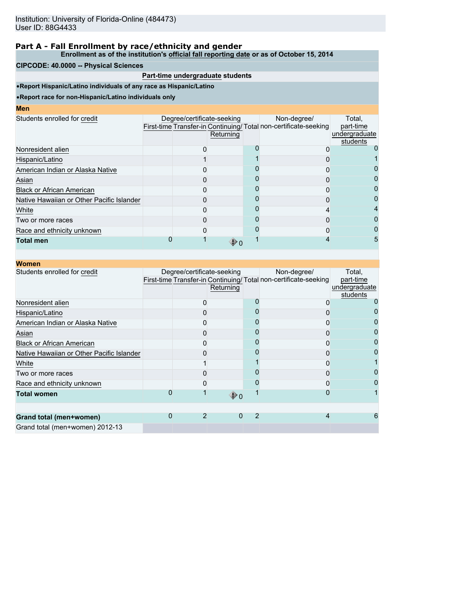**Enrollment as of the institution's official fall reporting date or as of October 15, 2014**

### **CIPCODE: 40.0000 -- Physical Sciences**

### **Part-time undergraduate students**

•**Report Hispanic/Latino individuals of any race as Hispanic/Latino**

| <b>Men</b>                                |                            |           |                                                                                |                                                  |
|-------------------------------------------|----------------------------|-----------|--------------------------------------------------------------------------------|--------------------------------------------------|
| Students enrolled for credit              | Degree/certificate-seeking | Returning | Non-degree/<br>First-time Transfer-in Continuing/Total non-certificate-seeking | Total.<br>part-time<br>undergraduate<br>students |
| Nonresident alien                         |                            |           |                                                                                |                                                  |
| Hispanic/Latino                           |                            |           |                                                                                |                                                  |
| American Indian or Alaska Native          |                            |           |                                                                                |                                                  |
| Asian                                     |                            |           |                                                                                |                                                  |
| <b>Black or African American</b>          |                            |           |                                                                                |                                                  |
| Native Hawaiian or Other Pacific Islander |                            |           |                                                                                | 0                                                |
| White                                     |                            |           |                                                                                | 4                                                |
| Two or more races                         |                            |           |                                                                                |                                                  |
| Race and ethnicity unknown                |                            |           |                                                                                | 0                                                |
| <b>Total men</b>                          |                            |           |                                                                                | 5                                                |

| <b>Women</b>                              |   |                            |                   |   |                                                                                |                                                  |
|-------------------------------------------|---|----------------------------|-------------------|---|--------------------------------------------------------------------------------|--------------------------------------------------|
| Students enrolled for credit              |   | Degree/certificate-seeking | Returning         |   | Non-degree/<br>First-time Transfer-in Continuing/Total non-certificate-seeking | Total,<br>part-time<br>undergraduate<br>students |
| Nonresident alien                         |   |                            |                   |   |                                                                                |                                                  |
| Hispanic/Latino                           |   |                            |                   |   |                                                                                |                                                  |
| American Indian or Alaska Native          |   |                            |                   |   |                                                                                |                                                  |
| Asian                                     |   |                            |                   |   |                                                                                |                                                  |
| <b>Black or African American</b>          |   |                            |                   |   |                                                                                |                                                  |
| Native Hawaiian or Other Pacific Islander |   |                            |                   |   |                                                                                |                                                  |
| White                                     |   |                            |                   |   |                                                                                |                                                  |
| Two or more races                         |   |                            |                   |   |                                                                                |                                                  |
| Race and ethnicity unknown                |   |                            |                   |   |                                                                                |                                                  |
| <b>Total women</b>                        |   |                            | $\mathbf{\Phi}$ o |   |                                                                                |                                                  |
|                                           | 0 | 2                          | 0                 | 2 | 4                                                                              |                                                  |
| Grand total (men+women)                   |   |                            |                   |   |                                                                                |                                                  |
| Grand total (men+women) 2012-13           |   |                            |                   |   |                                                                                |                                                  |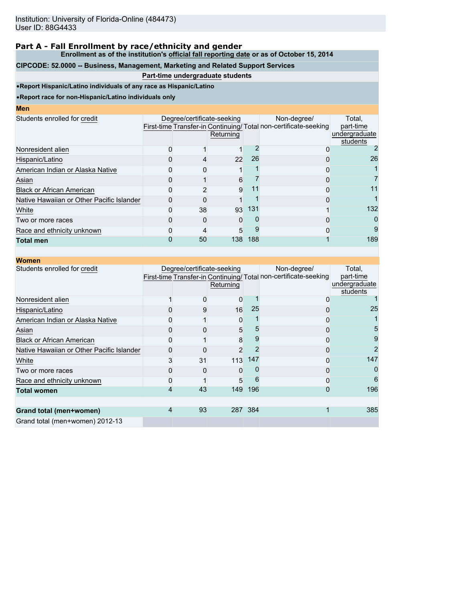**Enrollment as of the institution's official fall reporting date or as of October 15, 2014**

## **CIPCODE: 52.0000 -- Business, Management, Marketing and Related Support Services**

## **Part-time undergraduate students**

•**Report Hispanic/Latino individuals of any race as Hispanic/Latino**

| I<br>ш<br>۱<br><b>Service Service</b> |  |  |
|---------------------------------------|--|--|
|                                       |  |  |

| MCII                                      |                            |           |     |                                                                                |                                                  |
|-------------------------------------------|----------------------------|-----------|-----|--------------------------------------------------------------------------------|--------------------------------------------------|
| Students enrolled for credit              | Degree/certificate-seeking | Returning |     | Non-degree/<br>First-time Transfer-in Continuing/Total non-certificate-seeking | Total.<br>part-time<br>undergraduate<br>students |
| Nonresident alien                         |                            |           |     |                                                                                |                                                  |
| Hispanic/Latino                           |                            | 22        | 26  |                                                                                | 26                                               |
| American Indian or Alaska Native          |                            |           |     |                                                                                |                                                  |
| Asian                                     |                            | 6         |     |                                                                                |                                                  |
| <b>Black or African American</b>          |                            | 9         | 11  | 0                                                                              | 11                                               |
| Native Hawaiian or Other Pacific Islander |                            |           |     |                                                                                |                                                  |
| White                                     | 38                         | 93        | 131 |                                                                                | 132                                              |
| Two or more races                         |                            | O         |     |                                                                                | 0                                                |
| Race and ethnicity unknown                |                            | 5         |     |                                                                                | 9                                                |
| <b>Total men</b>                          | 50                         | 138       | 188 |                                                                                | 189                                              |
|                                           |                            |           |     |                                                                                |                                                  |

| <b>Women</b>                              |   |                            |               |         |                                                                                 |                                                  |
|-------------------------------------------|---|----------------------------|---------------|---------|---------------------------------------------------------------------------------|--------------------------------------------------|
| Students enrolled for credit              |   | Degree/certificate-seeking | Returning     |         | Non-degree/<br>First-time Transfer-in Continuing/ Total non-certificate-seeking | Total,<br>part-time<br>undergraduate<br>students |
| Nonresident alien                         |   |                            | 0             |         |                                                                                 |                                                  |
| Hispanic/Latino                           |   | 9                          | 16            | 25      | Ω                                                                               | 25                                               |
| American Indian or Alaska Native          |   |                            | 0             |         | 0                                                                               |                                                  |
| Asian                                     |   |                            | 5             |         | 0                                                                               | 5                                                |
| <b>Black or African American</b>          |   |                            | 8             |         | 0                                                                               | 9                                                |
| Native Hawaiian or Other Pacific Islander |   |                            | $\mathcal{P}$ |         | 0                                                                               | 2                                                |
| White                                     |   | 31                         | 113           | 147     | ი                                                                               | 147                                              |
| Two or more races                         |   |                            | 0             |         |                                                                                 |                                                  |
| Race and ethnicity unknown                |   |                            | 5             | ĥ       | 0                                                                               | 6                                                |
| <b>Total women</b>                        | 4 | 43                         | 149           | 196     | 0                                                                               | 196                                              |
|                                           |   |                            |               |         |                                                                                 |                                                  |
| Grand total (men+women)                   | 4 | 93                         |               | 287 384 |                                                                                 | 385                                              |
| Grand total (men+women) 2012-13           |   |                            |               |         |                                                                                 |                                                  |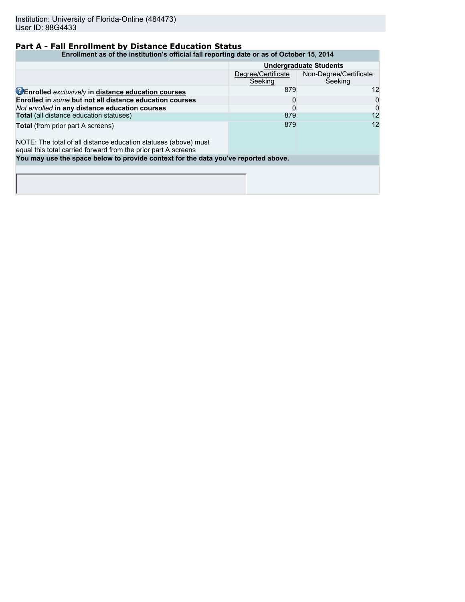### **Part A - Fall Enrollment by Distance Education Status**

#### **Enrollment as of the institution's official fall reporting date or as of October 15, 2014**

|                                                                                                                                   | <b>Undergraduate Students</b> |                                   |  |  |
|-----------------------------------------------------------------------------------------------------------------------------------|-------------------------------|-----------------------------------|--|--|
|                                                                                                                                   | Degree/Certificate<br>Seeking | Non-Degree/Certificate<br>Seeking |  |  |
| <b>CEnrolled</b> exclusively in distance education courses                                                                        | 879                           | 12                                |  |  |
| Enrolled in some but not all distance education courses                                                                           |                               | 0                                 |  |  |
| Not enrolled in any distance education courses                                                                                    |                               |                                   |  |  |
| Total (all distance education statuses)                                                                                           | 879                           | 12                                |  |  |
| <b>Total</b> (from prior part A screens)                                                                                          | 879                           | 12                                |  |  |
| NOTE: The total of all distance education statuses (above) must<br>equal this total carried forward from the prior part A screens |                               |                                   |  |  |
| You may use the space below to provide context for the data you've reported above.                                                |                               |                                   |  |  |
|                                                                                                                                   |                               |                                   |  |  |
|                                                                                                                                   |                               |                                   |  |  |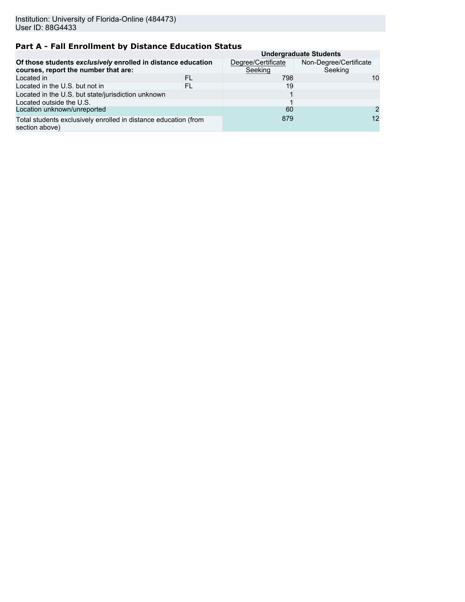# **Part A - Fall Enrollment by Distance Education Status**

|                                                                                                      |                               | <b>Undergraduate Students</b>     |                |  |  |  |
|------------------------------------------------------------------------------------------------------|-------------------------------|-----------------------------------|----------------|--|--|--|
| Of those students exclusively enrolled in distance education<br>courses, report the number that are: | Degree/Certificate<br>Seeking | Non-Degree/Certificate<br>Seeking |                |  |  |  |
| Located in                                                                                           | FL                            | 798                               | 10             |  |  |  |
| Located in the U.S. but not in                                                                       | FL                            | 19                                |                |  |  |  |
| Located in the U.S. but state/jurisdiction unknown                                                   |                               |                                   |                |  |  |  |
| Located outside the U.S.                                                                             |                               |                                   |                |  |  |  |
| Location unknown/unreported                                                                          |                               | 60                                | $\overline{2}$ |  |  |  |
| Total students exclusively enrolled in distance education (from<br>section above)                    | 879                           | 12                                |                |  |  |  |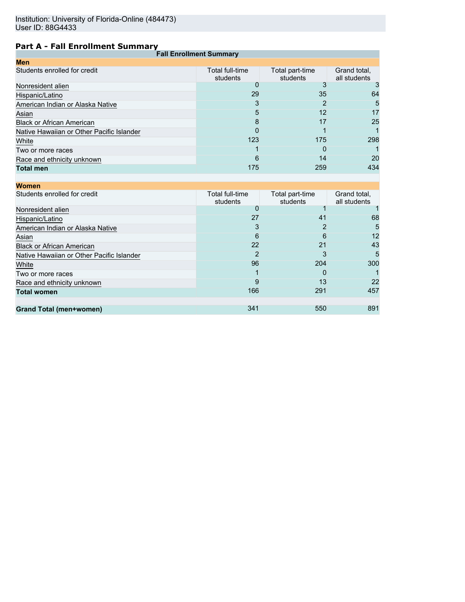# **Part A - Fall Enrollment Summary**

| <b>Fall Enrollment Summary</b>            |                             |                             |                              |  |  |  |  |
|-------------------------------------------|-----------------------------|-----------------------------|------------------------------|--|--|--|--|
| <b>Men</b>                                |                             |                             |                              |  |  |  |  |
| Students enrolled for credit              | Total full-time<br>students | Total part-time<br>students | Grand total,<br>all students |  |  |  |  |
| Nonresident alien                         | O                           |                             |                              |  |  |  |  |
| Hispanic/Latino                           | 29                          | 35                          | 64                           |  |  |  |  |
| American Indian or Alaska Native          |                             |                             | 5                            |  |  |  |  |
| Asian                                     | 5                           | 12                          | 17                           |  |  |  |  |
| <b>Black or African American</b>          | 8                           | 17                          | 25                           |  |  |  |  |
| Native Hawaiian or Other Pacific Islander | 0                           |                             |                              |  |  |  |  |
| White                                     | 123                         | 175                         | 298                          |  |  |  |  |
| Two or more races                         |                             | 0                           |                              |  |  |  |  |
| Race and ethnicity unknown                | 6                           | 14                          | 20                           |  |  |  |  |
| <b>Total men</b>                          | 175                         | 259                         | 434                          |  |  |  |  |
|                                           |                             |                             |                              |  |  |  |  |

| Total full-time<br>students | Total part-time<br>students | Grand total,<br>all students |
|-----------------------------|-----------------------------|------------------------------|
|                             |                             |                              |
| 27                          | 41                          | 68                           |
| 3                           |                             | 5                            |
| 6                           | 6                           | 12                           |
| 22                          | 21                          | 43                           |
| 2                           | 3                           | 5                            |
| 96                          | 204                         | 300                          |
|                             | 0                           |                              |
| 9                           | 13                          | 22                           |
| 166                         | 291                         | 457                          |
|                             |                             |                              |
|                             |                             | 891                          |
|                             | 341                         | 550                          |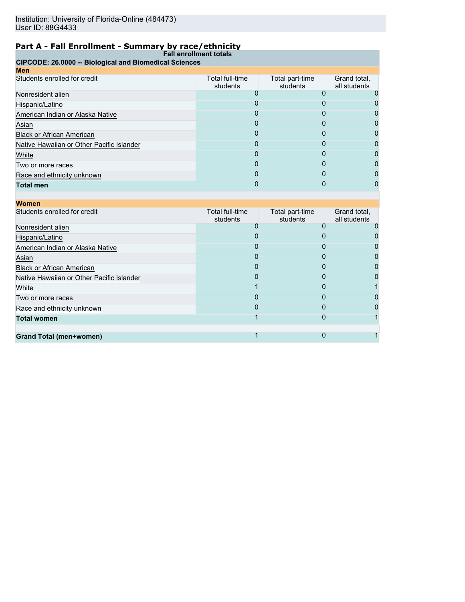# **Part A - Fall Enrollment - Summary by race/ethnicity**

|                                                        | <b>Fall enrollment totals</b> |                             |                              |
|--------------------------------------------------------|-------------------------------|-----------------------------|------------------------------|
| CIPCODE: 26.0000 -- Biological and Biomedical Sciences |                               |                             |                              |
| <b>Men</b>                                             |                               |                             |                              |
| Students enrolled for credit                           | Total full-time<br>students   | Total part-time<br>students | Grand total,<br>all students |
| Nonresident alien                                      |                               |                             |                              |
| Hispanic/Latino                                        |                               |                             |                              |
| American Indian or Alaska Native                       |                               |                             |                              |
| Asian                                                  |                               |                             |                              |
| <b>Black or African American</b>                       | $\mathbf{O}$                  | O                           |                              |
| Native Hawaiian or Other Pacific Islander              | 0                             |                             |                              |
| White                                                  |                               |                             |                              |
| Two or more races                                      | $\mathbf{I}$                  | O)                          |                              |
| Race and ethnicity unknown                             | $\mathbf{O}$                  |                             |                              |
| <b>Total men</b>                                       |                               |                             |                              |

| <b>Women</b>                              |                             |                             |                              |
|-------------------------------------------|-----------------------------|-----------------------------|------------------------------|
| Students enrolled for credit              | Total full-time<br>students | Total part-time<br>students | Grand total,<br>all students |
| Nonresident alien                         | O                           | O                           |                              |
| Hispanic/Latino                           | 0                           | $\mathbf{I}$                |                              |
| American Indian or Alaska Native          |                             |                             |                              |
| Asian                                     | 0                           | 0                           |                              |
| <b>Black or African American</b>          | Ω                           | $\mathbf{I}$                |                              |
| Native Hawaiian or Other Pacific Islander | O                           | $\mathbf{I}$                |                              |
| White                                     |                             | O                           |                              |
| Two or more races                         |                             |                             |                              |
| Race and ethnicity unknown                | 0                           | O                           |                              |
| <b>Total women</b>                        |                             |                             |                              |
|                                           |                             |                             |                              |
| <b>Grand Total (men+women)</b>            |                             |                             |                              |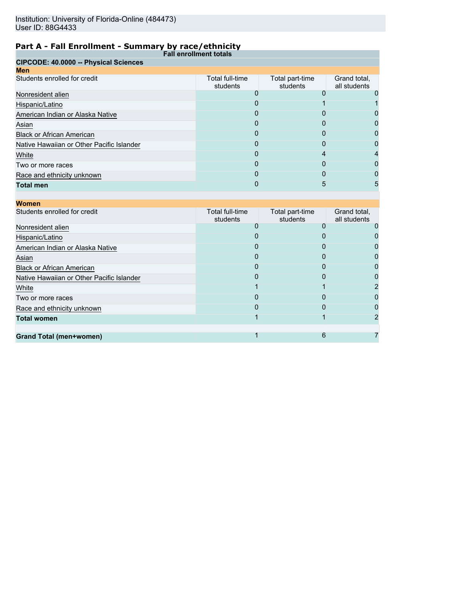# **Part A - Fall Enrollment - Summary by race/ethnicity**

|                                           | <b>Fall enrollment totals</b> |                             |                              |
|-------------------------------------------|-------------------------------|-----------------------------|------------------------------|
| CIPCODE: 40.0000 -- Physical Sciences     |                               |                             |                              |
| <b>Men</b>                                |                               |                             |                              |
| Students enrolled for credit              | Total full-time<br>students   | Total part-time<br>students | Grand total,<br>all students |
| Nonresident alien                         |                               |                             |                              |
| Hispanic/Latino                           | O                             |                             |                              |
| American Indian or Alaska Native          | 0                             | O                           |                              |
| Asian                                     |                               |                             |                              |
| <b>Black or African American</b>          | Ω                             | O                           |                              |
| Native Hawaiian or Other Pacific Islander | 0                             |                             | 0                            |
| White                                     |                               |                             |                              |
| Two or more races                         | O                             | 0                           | O                            |
| Race and ethnicity unknown                | $\Omega$                      | $\Omega$                    | 0                            |
| <b>Total men</b>                          |                               | 5                           | 5                            |

| <b>Women</b>                              |                             |                             |                              |
|-------------------------------------------|-----------------------------|-----------------------------|------------------------------|
| Students enrolled for credit              | Total full-time<br>students | Total part-time<br>students | Grand total,<br>all students |
| Nonresident alien                         |                             |                             |                              |
| Hispanic/Latino                           |                             |                             |                              |
| American Indian or Alaska Native          |                             | 0                           |                              |
| Asian                                     | O                           | O                           |                              |
| <b>Black or African American</b>          |                             |                             |                              |
| Native Hawaiian or Other Pacific Islander | 0                           | 0                           |                              |
| White                                     |                             |                             |                              |
| Two or more races                         |                             |                             |                              |
| Race and ethnicity unknown                | <sup>0</sup>                | O                           |                              |
| <b>Total women</b>                        |                             |                             |                              |
|                                           |                             |                             |                              |
| Grand Total (men+women)                   |                             | 6                           |                              |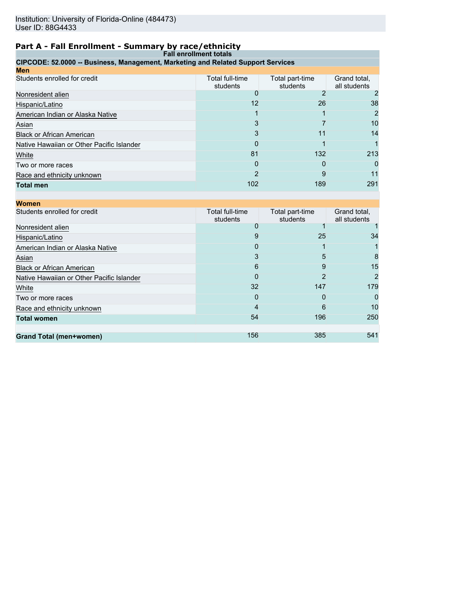## **Part A - Fall Enrollment - Summary by race/ethnicity**

| <b>Fall enrollment totals</b>                                                    |                             |                             |                              |  |  |  |
|----------------------------------------------------------------------------------|-----------------------------|-----------------------------|------------------------------|--|--|--|
| CIPCODE: 52.0000 -- Business, Management, Marketing and Related Support Services |                             |                             |                              |  |  |  |
| Men                                                                              |                             |                             |                              |  |  |  |
| Students enrolled for credit                                                     | Total full-time<br>students | Total part-time<br>students | Grand total,<br>all students |  |  |  |
| Nonresident alien                                                                |                             |                             |                              |  |  |  |
| Hispanic/Latino                                                                  | 12                          | 26                          | 38                           |  |  |  |
| American Indian or Alaska Native                                                 |                             |                             |                              |  |  |  |
| Asian                                                                            |                             |                             | 10                           |  |  |  |
| <b>Black or African American</b>                                                 |                             | 11                          | 14                           |  |  |  |
| Native Hawaiian or Other Pacific Islander                                        | 0                           |                             |                              |  |  |  |
| White                                                                            | 81                          | 132                         | 213                          |  |  |  |
| Two or more races                                                                | O                           |                             |                              |  |  |  |
| Race and ethnicity unknown                                                       |                             | 9                           |                              |  |  |  |
| Total men                                                                        | 102                         | 189                         | 291                          |  |  |  |

| Women                                     |                             |                             |                              |
|-------------------------------------------|-----------------------------|-----------------------------|------------------------------|
| Students enrolled for credit              | Total full-time<br>students | Total part-time<br>students | Grand total,<br>all students |
| Nonresident alien                         |                             |                             |                              |
| Hispanic/Latino                           | 9                           | 25                          | 34                           |
| American Indian or Alaska Native          | 0                           |                             |                              |
| Asian                                     | 3                           | 5                           | 8                            |
| <b>Black or African American</b>          | 6                           | 9                           | 15                           |
| Native Hawaiian or Other Pacific Islander | 0                           | 2                           | 2                            |
| White                                     | 32                          | 147                         | 179                          |
| Two or more races                         | 0                           | 0                           | $\Omega$                     |
| Race and ethnicity unknown                | 4                           | 6                           | 10                           |
| <b>Total women</b>                        | 54                          | 196                         | 250                          |
|                                           |                             |                             |                              |
| Grand Total (men+women)                   | 156                         | 385                         | 541                          |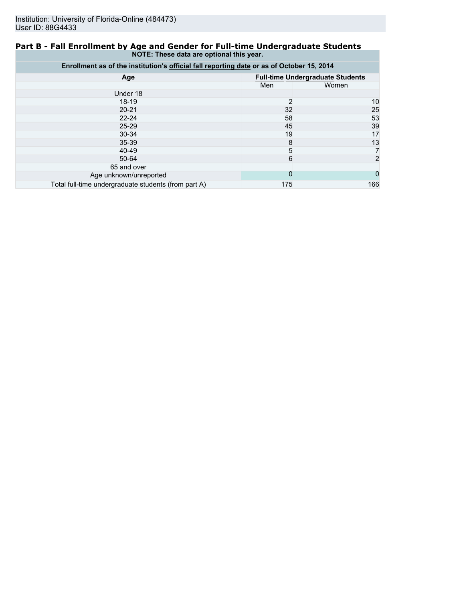### **Part B - Fall Enrollment by Age and Gender for Full-time Undergraduate Students NOTE: These data are optional this year.**

| Enrollment as of the institution's official fall reporting date or as of October 15, 2014 |     |                                         |  |  |  |
|-------------------------------------------------------------------------------------------|-----|-----------------------------------------|--|--|--|
| Age                                                                                       |     | <b>Full-time Undergraduate Students</b> |  |  |  |
|                                                                                           | Men | Women                                   |  |  |  |
| Under 18                                                                                  |     |                                         |  |  |  |
| $18-19$                                                                                   | 2   | 10                                      |  |  |  |
| $20 - 21$                                                                                 | 32  | 25                                      |  |  |  |
| $22 - 24$                                                                                 | 58  | 53                                      |  |  |  |
| $25 - 29$                                                                                 | 45  | 39                                      |  |  |  |
| $30 - 34$                                                                                 | 19  | 17                                      |  |  |  |
| $35 - 39$                                                                                 | 8   | 13                                      |  |  |  |
| 40-49                                                                                     | 5   |                                         |  |  |  |
| 50-64                                                                                     | 6   | 2                                       |  |  |  |
| 65 and over                                                                               |     |                                         |  |  |  |
| Age unknown/unreported                                                                    | 0   |                                         |  |  |  |
| Total full-time undergraduate students (from part A)                                      | 175 | 166                                     |  |  |  |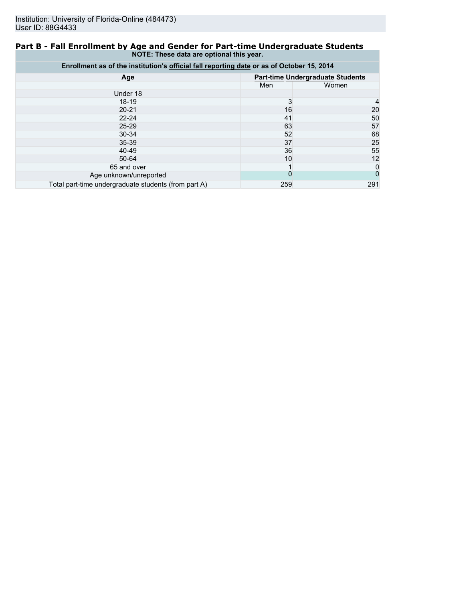### **Part B - Fall Enrollment by Age and Gender for Part-time Undergraduate Students NOTE: These data are optional this year.**

| Enrollment as of the institution's official fall reporting date or as of October 15, 2014 |          |                                         |  |  |  |
|-------------------------------------------------------------------------------------------|----------|-----------------------------------------|--|--|--|
| Age                                                                                       |          | <b>Part-time Undergraduate Students</b> |  |  |  |
|                                                                                           | Men      | Women                                   |  |  |  |
| Under 18                                                                                  |          |                                         |  |  |  |
| $18-19$                                                                                   | 3        |                                         |  |  |  |
| $20 - 21$                                                                                 | 16       | 20                                      |  |  |  |
| $22 - 24$                                                                                 | 41       | 50                                      |  |  |  |
| $25 - 29$                                                                                 | 63       | 57                                      |  |  |  |
| $30 - 34$                                                                                 | 52       | 68                                      |  |  |  |
| $35 - 39$                                                                                 | 37       | 25                                      |  |  |  |
| 40-49                                                                                     | 36       | 55                                      |  |  |  |
| $50 - 64$                                                                                 | 10       | 12                                      |  |  |  |
| 65 and over                                                                               |          | 0                                       |  |  |  |
| Age unknown/unreported                                                                    | $\Omega$ |                                         |  |  |  |
| Total part-time undergraduate students (from part A)                                      | 259      | 291                                     |  |  |  |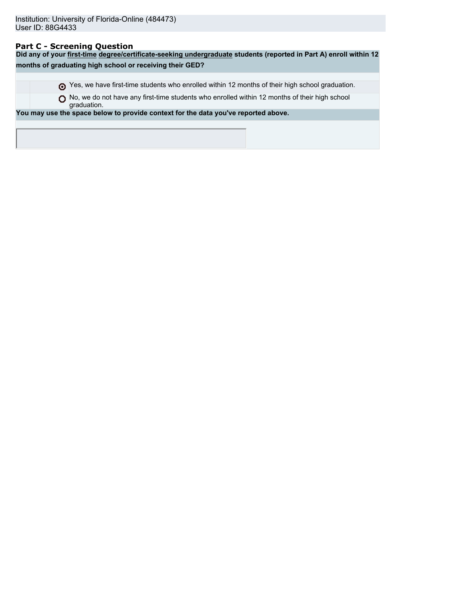### **Part C - Screening Question**

**Did any of your first-time degree/certificate-seeking undergraduate students (reported in Part A) enroll within 12 months of graduating high school or receiving their GED?** Yes, we have first-time students who enrolled within 12 months of their high school graduation. ◯ No, we do not have any first-time students who enrolled within 12 months of their high school graduation. **You may use the space below to provide context for the data you've reported above.**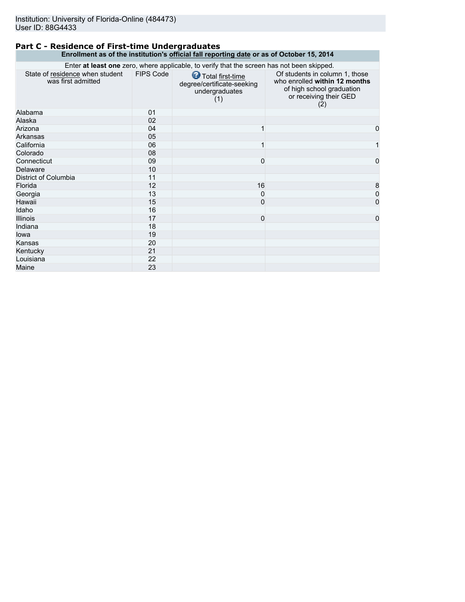### **Part C - Residence of First-time Undergraduates Enrollment as of the institution's official fall reporting date or as of October 15, 2014**

|                                                       |                  | Enter at least one zero, where applicable, to verify that the screen has not been skipped. |                                                                                                                               |
|-------------------------------------------------------|------------------|--------------------------------------------------------------------------------------------|-------------------------------------------------------------------------------------------------------------------------------|
| State of residence when student<br>was first admitted | <b>FIPS Code</b> | Total first-time<br>degree/certificate-seeking<br>undergraduates<br>(1)                    | Of students in column 1, those<br>who enrolled within 12 months<br>of high school graduation<br>or receiving their GED<br>(2) |
| Alabama                                               | 01               |                                                                                            |                                                                                                                               |
| Alaska                                                | 02               |                                                                                            |                                                                                                                               |
| Arizona                                               | 04               |                                                                                            | $\mathbf 0$                                                                                                                   |
| Arkansas                                              | 05               |                                                                                            |                                                                                                                               |
| California                                            | 06               |                                                                                            | 1                                                                                                                             |
| Colorado                                              | 08               |                                                                                            |                                                                                                                               |
| Connecticut                                           | 09               | 0                                                                                          | $\mathbf 0$                                                                                                                   |
| Delaware                                              | 10               |                                                                                            |                                                                                                                               |
| District of Columbia                                  | 11               |                                                                                            |                                                                                                                               |
| Florida                                               | 12               | 16                                                                                         | 8                                                                                                                             |
| Georgia                                               | 13               | 0                                                                                          | $\overline{0}$                                                                                                                |
| Hawaii                                                | 15               | $\mathbf{0}$                                                                               | 0                                                                                                                             |
| Idaho                                                 | 16               |                                                                                            |                                                                                                                               |
| <b>Illinois</b>                                       | 17               | $\mathbf{0}$                                                                               | $\mathbf{0}$                                                                                                                  |
| Indiana                                               | 18               |                                                                                            |                                                                                                                               |
| lowa                                                  | 19               |                                                                                            |                                                                                                                               |
| Kansas                                                | 20               |                                                                                            |                                                                                                                               |
| Kentucky                                              | 21               |                                                                                            |                                                                                                                               |
| Louisiana                                             | 22               |                                                                                            |                                                                                                                               |
| Maine                                                 | 23               |                                                                                            |                                                                                                                               |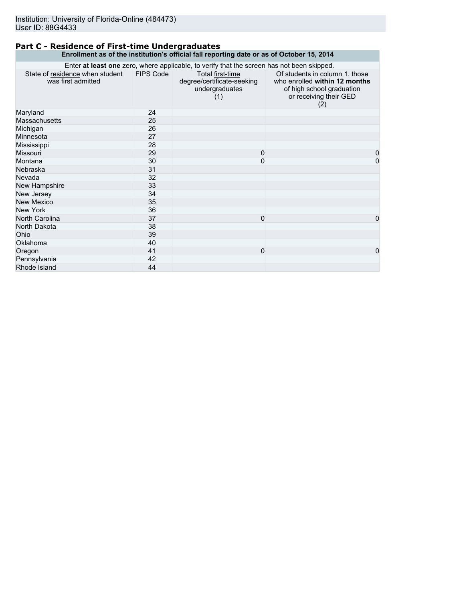### **Part C - Residence of First-time Undergraduates Enrollment as of the institution's official fall reporting date or as of October 15, 2014**

| Enter at least one zero, where applicable, to verify that the screen has not been skipped. |           |                                                                         |                                                                                                                               |  |
|--------------------------------------------------------------------------------------------|-----------|-------------------------------------------------------------------------|-------------------------------------------------------------------------------------------------------------------------------|--|
| State of residence when student<br>was first admitted                                      | FIPS Code | Total first-time<br>degree/certificate-seeking<br>undergraduates<br>(1) | Of students in column 1, those<br>who enrolled within 12 months<br>of high school graduation<br>or receiving their GED<br>(2) |  |
| Maryland                                                                                   | 24        |                                                                         |                                                                                                                               |  |
| <b>Massachusetts</b>                                                                       | 25        |                                                                         |                                                                                                                               |  |
| Michigan                                                                                   | 26        |                                                                         |                                                                                                                               |  |
| Minnesota                                                                                  | 27        |                                                                         |                                                                                                                               |  |
| Mississippi                                                                                | 28        |                                                                         |                                                                                                                               |  |
| Missouri                                                                                   | 29        | $\Omega$                                                                | 0                                                                                                                             |  |
| Montana                                                                                    | 30        | 0                                                                       | $\mathbf 0$                                                                                                                   |  |
| Nebraska                                                                                   | 31        |                                                                         |                                                                                                                               |  |
| Nevada                                                                                     | 32        |                                                                         |                                                                                                                               |  |
| New Hampshire                                                                              | 33        |                                                                         |                                                                                                                               |  |
| New Jersey                                                                                 | 34        |                                                                         |                                                                                                                               |  |
| <b>New Mexico</b>                                                                          | 35        |                                                                         |                                                                                                                               |  |
| New York                                                                                   | 36        |                                                                         |                                                                                                                               |  |
| North Carolina                                                                             | 37        | $\mathbf{0}$                                                            | $\Omega$                                                                                                                      |  |
| North Dakota                                                                               | 38        |                                                                         |                                                                                                                               |  |
| Ohio                                                                                       | 39        |                                                                         |                                                                                                                               |  |
| Oklahoma                                                                                   | 40        |                                                                         |                                                                                                                               |  |
| Oregon                                                                                     | 41        | $\mathbf 0$                                                             | $\mathbf 0$                                                                                                                   |  |
| Pennsylvania                                                                               | 42        |                                                                         |                                                                                                                               |  |
| Rhode Island                                                                               | 44        |                                                                         |                                                                                                                               |  |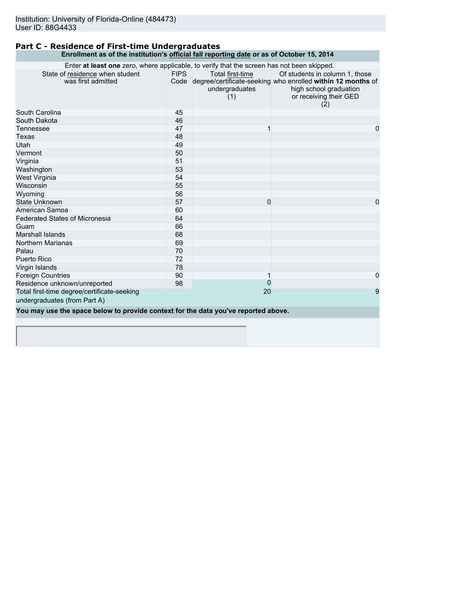### **Part C - Residence of First-time Undergraduates Enrollment as of the institution's official fall reporting date or as of October 15, 2014**

| Enter at least one zero, where applicable, to verify that the screen has not been skipped. |             |                                           |                                                                                                                                                               |
|--------------------------------------------------------------------------------------------|-------------|-------------------------------------------|---------------------------------------------------------------------------------------------------------------------------------------------------------------|
| State of residence when student<br>was first admitted                                      | <b>FIPS</b> | Total first-time<br>undergraduates<br>(1) | Of students in column 1, those<br>Code degree/certificate-seeking who enrolled within 12 months of<br>high school graduation<br>or receiving their GED<br>(2) |
| South Carolina                                                                             | 45          |                                           |                                                                                                                                                               |
| South Dakota                                                                               | 46          |                                           |                                                                                                                                                               |
| Tennessee                                                                                  | 47          |                                           | 0                                                                                                                                                             |
| Texas                                                                                      | 48          |                                           |                                                                                                                                                               |
| Utah                                                                                       | 49          |                                           |                                                                                                                                                               |
| Vermont                                                                                    | 50          |                                           |                                                                                                                                                               |
| Virginia                                                                                   | 51          |                                           |                                                                                                                                                               |
| Washington                                                                                 | 53          |                                           |                                                                                                                                                               |
| West Virginia                                                                              | 54          |                                           |                                                                                                                                                               |
| Wisconsin                                                                                  | 55          |                                           |                                                                                                                                                               |
| Wyoming                                                                                    | 56          |                                           |                                                                                                                                                               |
| <b>State Unknown</b>                                                                       | 57          | 0                                         | 0                                                                                                                                                             |
| American Samoa                                                                             | 60          |                                           |                                                                                                                                                               |
| <b>Federated States of Micronesia</b>                                                      | 64          |                                           |                                                                                                                                                               |
| Guam                                                                                       | 66          |                                           |                                                                                                                                                               |
| Marshall Islands                                                                           | 68          |                                           |                                                                                                                                                               |
| Northern Marianas                                                                          | 69          |                                           |                                                                                                                                                               |
| Palau                                                                                      | 70          |                                           |                                                                                                                                                               |
| Puerto Rico                                                                                | 72          |                                           |                                                                                                                                                               |
| Virgin Islands                                                                             | 78          |                                           |                                                                                                                                                               |
| <b>Foreign Countries</b>                                                                   | 90          |                                           | 0                                                                                                                                                             |
| Residence unknown/unreported                                                               | 98          | $\Omega$                                  |                                                                                                                                                               |
| Total first-time degree/certificate-seeking                                                |             | 20                                        | 9                                                                                                                                                             |
| undergraduates (from Part A)                                                               |             |                                           |                                                                                                                                                               |
| You may use the space below to provide context for the data you've reported above.         |             |                                           |                                                                                                                                                               |
|                                                                                            |             |                                           |                                                                                                                                                               |
|                                                                                            |             |                                           |                                                                                                                                                               |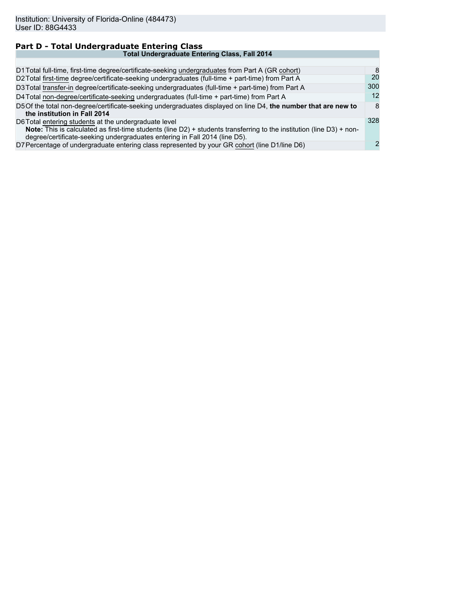| Part D - Total Undergraduate Entering Class                                                                                                                                                                                                                  |     |
|--------------------------------------------------------------------------------------------------------------------------------------------------------------------------------------------------------------------------------------------------------------|-----|
| <b>Total Undergraduate Entering Class, Fall 2014</b>                                                                                                                                                                                                         |     |
|                                                                                                                                                                                                                                                              |     |
| D1 Total full-time, first-time degree/certificate-seeking undergraduates from Part A (GR cohort)                                                                                                                                                             | 8   |
| D2 Total first-time degree/certificate-seeking undergraduates (full-time + part-time) from Part A                                                                                                                                                            | 20  |
| D3 Total transfer-in degree/certificate-seeking undergraduates (full-time + part-time) from Part A                                                                                                                                                           | 300 |
| D4 Total non-degree/certificate-seeking undergraduates (full-time + part-time) from Part A                                                                                                                                                                   | 12  |
| D5 Of the total non-degree/certificate-seeking undergraduates displayed on line D4, the number that are new to<br>the institution in Fall 2014                                                                                                               | 8   |
| D6 Total entering students at the undergraduate level<br>Note: This is calculated as first-time students (line D2) + students transferring to the institution (line D3) + non-<br>degree/certificate-seeking undergraduates entering in Fall 2014 (line D5). | 328 |
| D7 Percentage of undergraduate entering class represented by your GR cohort (line D1/line D6)                                                                                                                                                                | 2   |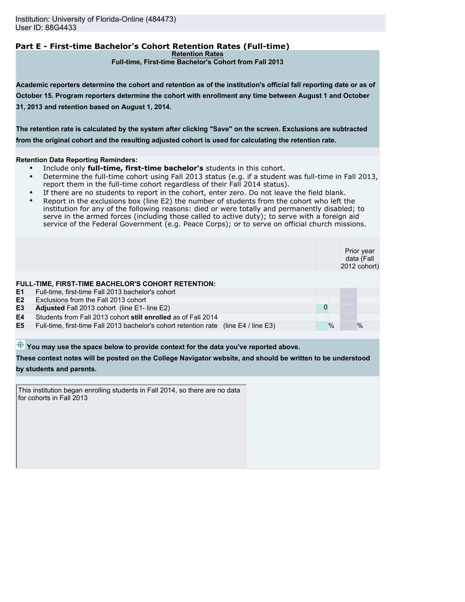## **Part E - First-time Bachelor's Cohort Retention Rates (Full-time)**

**Retention Rates**

**Full-time, First-time Bachelor's Cohort from Fall 2013**

**Academic reporters determine the cohort and retention as of the institution's official fall reporting date or as of October 15. Program reporters determine the cohort with enrollment any time between August 1 and October 31, 2013 and retention based on August 1, 2014.**

**The retention rate is calculated by the system after clicking "Save" on the screen. Exclusions are subtracted from the original cohort and the resulting adjusted cohort is used for calculating the retention rate.**

#### **Retention Data Reporting Reminders:**

- Include only **full-time, first-time bachelor's** students in this cohort.
- Determine the full-time cohort using Fall 2013 status (e.g. if a student was full-time in Fall 2013, report them in the full-time cohort regardless of their Fall 2014 status).
- If there are no students to report in the cohort, enter zero. Do not leave the field blank.
- Report in the exclusions box (line E2) the number of students from the cohort who left the institution for any of the following reasons: died or were totally and permanently disabled; to serve in the armed forces (including those called to active duty); to serve with a foreign aid service of the Federal Government (e.g. Peace Corps); or to serve on official church missions.

|                |                                                                                      |   |      | Prior year<br>data (Fall<br>2012 cohort) |
|----------------|--------------------------------------------------------------------------------------|---|------|------------------------------------------|
|                | <b>FULL-TIME, FIRST-TIME BACHELOR'S COHORT RETENTION:</b>                            |   |      |                                          |
| E <sub>1</sub> | Full-time, first-time Fall 2013 bachelor's cohort                                    |   |      |                                          |
| E2             | Exclusions from the Fall 2013 cohort                                                 |   |      |                                          |
| E <sub>3</sub> | Adjusted Fall 2013 cohort (line E1- line E2)                                         | 0 |      |                                          |
| E4             | Students from Fall 2013 cohort still enrolled as of Fall 2014                        |   |      |                                          |
| E <sub>5</sub> | Full-time, first-time Fall 2013 bachelor's cohort retention rate (line E4 / line E3) |   | $\%$ | $\%$                                     |
|                |                                                                                      |   |      |                                          |

 $\bigoplus$  You may use the space below to provide context for the data you've reported above.

**These context notes will be posted on the College Navigator website, and should be written to be understood**

#### **by students and parents.**

This institution began enrolling students in Fall 2014, so there are no data for cohorts in Fall 2013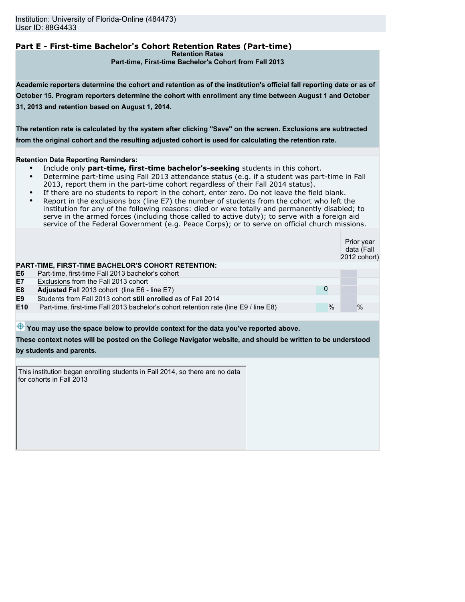# **Part E - First-time Bachelor's Cohort Retention Rates (Part-time)**

**Retention Rates**

**Part-time, First-time Bachelor's Cohort from Fall 2013**

**Academic reporters determine the cohort and retention as of the institution's official fall reporting date or as of October 15. Program reporters determine the cohort with enrollment any time between August 1 and October 31, 2013 and retention based on August 1, 2014.**

**The retention rate is calculated by the system after clicking "Save" on the screen. Exclusions are subtracted from the original cohort and the resulting adjusted cohort is used for calculating the retention rate.**

#### **Retention Data Reporting Reminders:**

- Include only **part-time, first-time bachelor's-seeking** students in this cohort.
- Determine part-time using Fall 2013 attendance status (e.g. if a student was part-time in Fall 2013, report them in the part-time cohort regardless of their Fall 2014 status).
- If there are no students to report in the cohort, enter zero. Do not leave the field blank.
- Report in the exclusions box (line E7) the number of students from the cohort who left the institution for any of the following reasons: died or were totally and permanently disabled; to serve in the armed forces (including those called to active duty); to serve with a foreign aid service of the Federal Government (e.g. Peace Corps); or to serve on official church missions.

Prior year data (Fall 2012 cohort)

#### **PART-TIME, FIRST-TIME BACHELOR'S COHORT RETENTION:**

| E6  | Part-time, first-time Fall 2013 bachelor's cohort                                   |      |      |
|-----|-------------------------------------------------------------------------------------|------|------|
| Е7  | Exclusions from the Fall 2013 cohort                                                |      |      |
| E8  | <b>Adjusted</b> Fall 2013 cohort (line E6 - line E7)                                |      |      |
| E9  | Students from Fall 2013 cohort still enrolled as of Fall 2014                       |      |      |
| E10 | Part-time, first-time Fall 2013 bachelor's cohort retention rate (line E9) line E8) | $\%$ | $\%$ |
|     |                                                                                     |      |      |

 $\bigoplus$  You may use the space below to provide context for the data you've reported above.

**These context notes will be posted on the College Navigator website, and should be written to be understood by students and parents.**

This institution began enrolling students in Fall 2014, so there are no data for cohorts in Fall 2013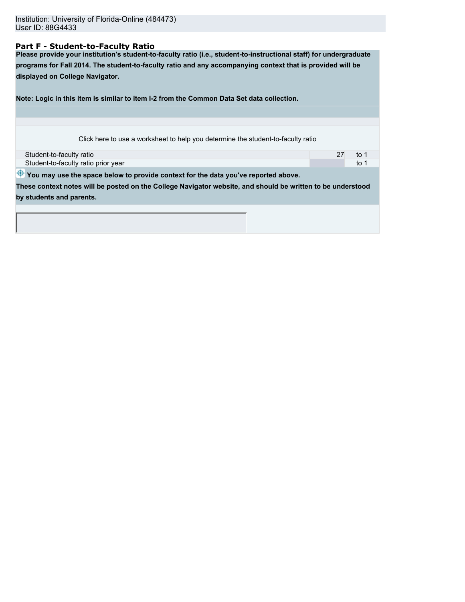### **Part F - Student-to-Faculty Ratio**

**Please provide your institution's student-to-faculty ratio (i.e., student-to-instructional staff) for undergraduate programs for Fall 2014. The student-to-faculty ratio and any accompanying context that is provided will be displayed on College Navigator.**

**Note: Logic in this item is similar to item I-2 from the Common Data Set data collection.**

Click here to use a worksheet to help you determine the student-to-faculty ratio

| Student-to-faculty ratio            |  |
|-------------------------------------|--|
| Student-to-faculty ratio prior year |  |

 $\bigoplus$  You may use the space below to provide context for the data you've reported above.

**These context notes will be posted on the College Navigator website, and should be written to be understood by students and parents.**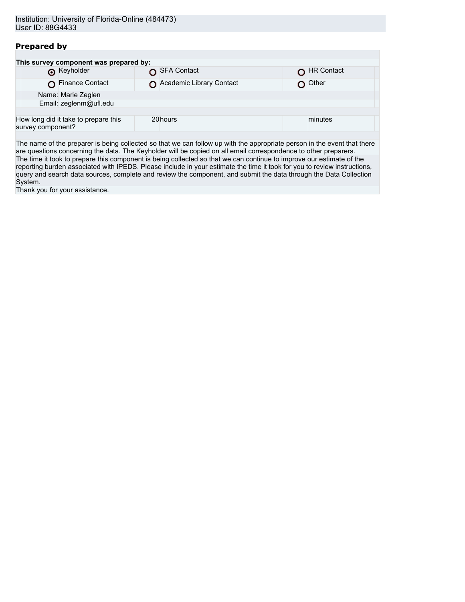## **Prepared by**

|                   | This survey component was prepared by: |                          |            |  |
|-------------------|----------------------------------------|--------------------------|------------|--|
|                   | <b>O</b> Keyholder                     | SFA Contact              | HR Contact |  |
|                   | Finance Contact                        | Academic Library Contact | Other      |  |
|                   | Name: Marie Zeglen                     |                          |            |  |
|                   | Email: zeglenm@ufl.edu                 |                          |            |  |
|                   |                                        |                          |            |  |
| survey component? | How long did it take to prepare this   | 20hours                  | minutes    |  |
|                   |                                        |                          |            |  |

The name of the preparer is being collected so that we can follow up with the appropriate person in the event that there are questions concerning the data. The Keyholder will be copied on all email correspondence to other preparers. The time it took to prepare this component is being collected so that we can continue to improve our estimate of the reporting burden associated with IPEDS. Please include in your estimate the time it took for you to review instructions, query and search data sources, complete and review the component, and submit the data through the Data Collection System.

Thank you for your assistance.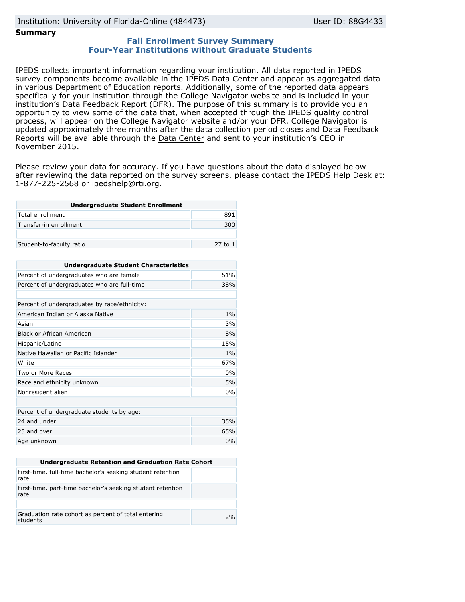# Institution: University of Florida-Online (484473) User ID: 88G4433

### **Summary**

### **Fall Enrollment Survey Summary Four-Year Institutions without Graduate Students**

IPEDS collects important information regarding your institution. All data reported in IPEDS survey components become available in the IPEDS Data Center and appear as aggregated data in various Department of Education reports. Additionally, some of the reported data appears specifically for your institution through the College Navigator website and is included in your institution's Data Feedback Report (DFR). The purpose of this summary is to provide you an opportunity to view some of the data that, when accepted through the IPEDS quality control process, will appear on the College Navigator website and/or your DFR. College Navigator is updated approximately three months after the data collection period closes and Data Feedback Reports will be available through the [Data Center](http://nces.ed.gov/ipeds/datacenter/) and sent to your institution's CEO in November 2015.

Please review your data for accuracy. If you have questions about the data displayed below after reviewing the data reported on the survey screens, please contact the IPEDS Help Desk at: 1-877-225-2568 or ipedshelp@rti.org.

| <b>Undergraduate Student Enrollment</b> |         |  |
|-----------------------------------------|---------|--|
| Total enrollment                        | 891     |  |
| Transfer-in enrollment                  | 300     |  |
|                                         |         |  |
| Student-to-faculty ratio                | 27 to 1 |  |

| <b>Undergraduate Student Characteristics</b> |       |  |  |
|----------------------------------------------|-------|--|--|
| Percent of undergraduates who are female     | 51%   |  |  |
| Percent of undergraduates who are full-time  | 38%   |  |  |
|                                              |       |  |  |
| Percent of undergraduates by race/ethnicity: |       |  |  |
| American Indian or Alaska Native             | $1\%$ |  |  |
| Asian                                        | 3%    |  |  |
| Black or African American                    | 8%    |  |  |
| Hispanic/Latino                              | 15%   |  |  |
| Native Hawaiian or Pacific Islander          | 1%    |  |  |
| White                                        | 67%   |  |  |
| Two or More Races                            | 0%    |  |  |
| Race and ethnicity unknown                   | 5%    |  |  |
| Nonresident alien                            | 0%    |  |  |
|                                              |       |  |  |
| Percent of undergraduate students by age:    |       |  |  |
| 24 and under                                 | 35%   |  |  |
| 25 and over                                  | 65%   |  |  |
| Age unknown                                  | 0%    |  |  |

| Undergraduate Retention and Graduation Rate Cohort                 |    |  |  |
|--------------------------------------------------------------------|----|--|--|
| First-time, full-time bachelor's seeking student retention<br>rate |    |  |  |
| First-time, part-time bachelor's seeking student retention<br>rate |    |  |  |
|                                                                    |    |  |  |
| Graduation rate cohort as percent of total entering<br>students    | 2% |  |  |